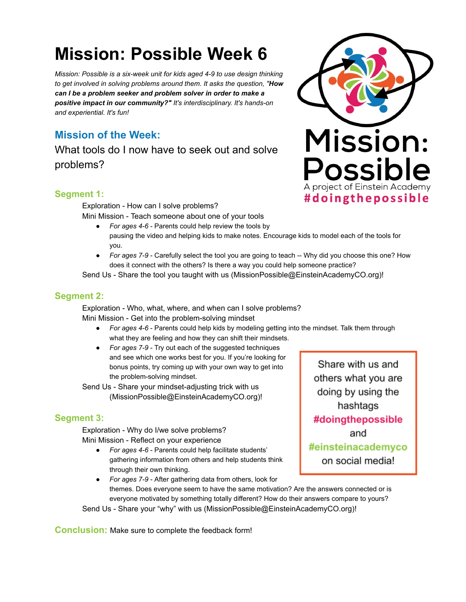# **Mission: Possible Week 6**

*Mission: Possible is a six-week unit for kids aged 4-9 to use design thinking to get involved in solving problems around them. It asks the question, " How can I be a problem seeker and problem solver in order to make a positive impact in our community?" It's interdisciplinary. It's hands-on and experiential. It's fun!* 

# **Mission of the Week:**

What tools do I now have to seek out and solve problems?



## **Segment 1:**

Exploration - How can I solve problems? Mini Mission - Teach someone about one of your tools

- *For ages 4-6*  Parents could help review the tools by pausing the video and helping kids to make notes. Encourage kids to model each of the tools for you.
- *For ages 7-9*  Carefully select the tool you are going to teach -- Why did you choose this one? How does it connect with the others? Is there a way you could help someone practice?

Send Us - Share the tool you taught with us (MissionPossible@EinsteinAcademyCO.org)!

#### **Segment 2:**

Exploration - Who, what, where, and when can I solve problems? Mini Mission - Get into the problem-solving mindset

- *For ages 4-6*  Parents could help kids by modeling getting into the mindset. Talk them through what they are feeling and how they can shift their mindsets.
- *For ages 7-9*  Try out each of the suggested techniques and see which one works best for you. If you're looking for bonus points, try coming up with your own way to get into the problem-solving mindset.

Send Us - Share your mindset-adjusting trick with us (MissionPossible@EinsteinAcademyCO.org)!

# **Segment 3:**

Exploration - Why do I/we solve problems? Mini Mission - Reflect on your experience

● *For ages 4-6* - Parents could help facilitate students' gathering information from others and help students think through their own thinking.

Share with us and others what you are doing by using the hashtags #doingthepossible and #einsteinacademyco on social media!

● *For ages 7-9* - After gathering data from others, look for themes. Does everyone seem to have the same motivation? Are the answers connected or is everyone motivated by something totally different? How do their answers compare to yours? Send Us - Share your "why" with us (MissionPossible@EinsteinAcademyCO.org)!

**Conclusion:** Make sure to complete the feedback form!